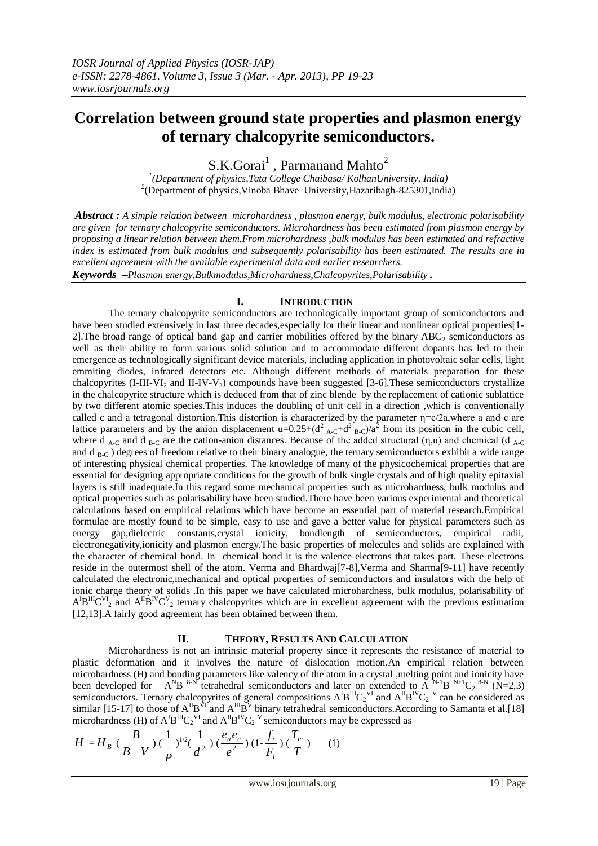# **Correlation between ground state properties and plasmon energy of ternary chalcopyrite semiconductors.**

 $S.K.Gorai<sup>1</sup>$ , Parmanand Mahto<sup>2</sup>

*1 (Department of physics,Tata College Chaibasa/ KolhanUniversity, India)* <sup>2</sup>(Department of physics, Vinoba Bhave University, Hazaribagh-825301, India)

*Abstract : A simple relation between microhardness , plasmon energy, bulk modulus, electronic polarisability are given for ternary chalcopyrite semiconductors. Microhardness has been estimated from plasmon energy by proposing a linear relation between them.From microhardness ,bulk modulus has been estimated and refractive index is estimated from bulk modulus and subsequently polarisability has been estimated. The results are in excellent agreement with the available experimental data and earlier researchers.*

*Keywords –Plasmon energy,Bulkmodulus,Microhardness,Chalcopyrites,Polarisability .*

### **I. INTRODUCTION**

The ternary chalcopyrite semiconductors are technologically important group of semiconductors and have been studied extensively in last three decades, especially for their linear and nonlinear optical properties [1-1] 2]. The broad range of optical band gap and carrier mobilities offered by the binary  $ABC_2$  semiconductors as well as their ability to form various solid solution and to accommodate different dopants has led to their emergence as technologically significant device materials, including application in photovoltaic solar cells, light emmiting diodes, infrared detectors etc. Although different methods of materials preparation for these chalcopyrites (I-III-VI<sub>2</sub> and II-IV-V<sub>2</sub>) compounds have been suggested [3-6]. These semiconductors crystallize in the chalcopyrite structure which is deduced from that of zinc blende by the replacement of cationic sublattice by two different atomic species.This induces the doubling of unit cell in a direction ,which is conventionally called c and a tetragonal distortion. This distortion is characterized by the parameter  $\eta = c/2a$ , where a and c are lattice parameters and by the anion displacement  $u=0.25+(d^2_{AC}+d^2_{BC})/a^2$  from its position in the cubic cell, where  $d_{A-C}$  and  $d_{B-C}$  are the cation-anion distances. Because of the added structural  $(\eta, u)$  and chemical (d <sub>A-C</sub> and  $d_{B-C}$ ) degrees of freedom relative to their binary analogue, the ternary semiconductors exhibit a wide range of interesting physical chemical properties. The knowledge of many of the physicochemical properties that are essential for designing appropriate conditions for the growth of bulk single crystals and of high quality epitaxial layers is still inadequate.In this regard some mechanical properties such as microhardness, bulk modulus and optical properties such as polarisability have been studied.There have been various experimental and theoretical calculations based on empirical relations which have become an essential part of material research.Empirical formulae are mostly found to be simple, easy to use and gave a better value for physical parameters such as energy gap,dielectric constants,crystal ionicity, bondlength of semiconductors, empirical radii, electronegativity,ionicity and plasmon energy.The basic properties of molecules and solids are explained with the character of chemical bond. In chemical bond it is the valence electrons that takes part. These electrons reside in the outermost shell of the atom. Verma and Bhardwaj[7-8],Verma and Sharma[9-11] have recently calculated the electronic,mechanical and optical properties of semiconductors and insulators with the help of ionic charge theory of solids .In this paper we have calculated microhardness, bulk modulus, polarisability of  $A^{I}B^{II}C^{VI}$  and  $A^{II}B^{IV}C^{V}$  ternary chalcopyrites which are in excellent agreement with the previous estimation [12,13]. A fairly good agreement has been obtained between them.

#### **II. THEORY, RESULTS AND CALCULATION**

Microhardness is not an intrinsic material property since it represents the resistance of material to plastic deformation and it involves the nature of dislocation motion.An empirical relation between microhardness (H) and bonding parameters like valency of the atom in a crystal ,melting point and ionicity have been developed for A<sup>N</sup>B<sup>8-N</sup> tetrahedral semiconductors and later on extended to A<sup>N-1</sup>B<sup>N+1</sup>C<sub>2</sub><sup>8-N</sup> (N=2,3) semiconductors. Ternary chalcopyrites of general compositions  $A^{I}B^{II}C_2^{VI}$  and  $A^{II}B^{IV}C_2^{V}$  can be considered as similar [15-17] to those of  $A^{II}B^{VI}$  and  $A^{III}B^{V}$  binary tetrahedral semiconductors. According to Samanta et al.[18] microhardness (H) of  $A^{I}B^{II}C_2^{VI}$  and  $A^{II}B^{IV}C_2^{VI}$  semiconductors may be expressed as

$$
H = H_B \left( \frac{B}{B-V} \right) \left( \frac{1}{p} \right)^{1/2} \left( \frac{1}{d^2} \right) \left( \frac{e_a e_c}{e^2} \right) \left( 1 - \frac{f_i}{F_i} \right) \left( \frac{T_m}{T} \right) \tag{1}
$$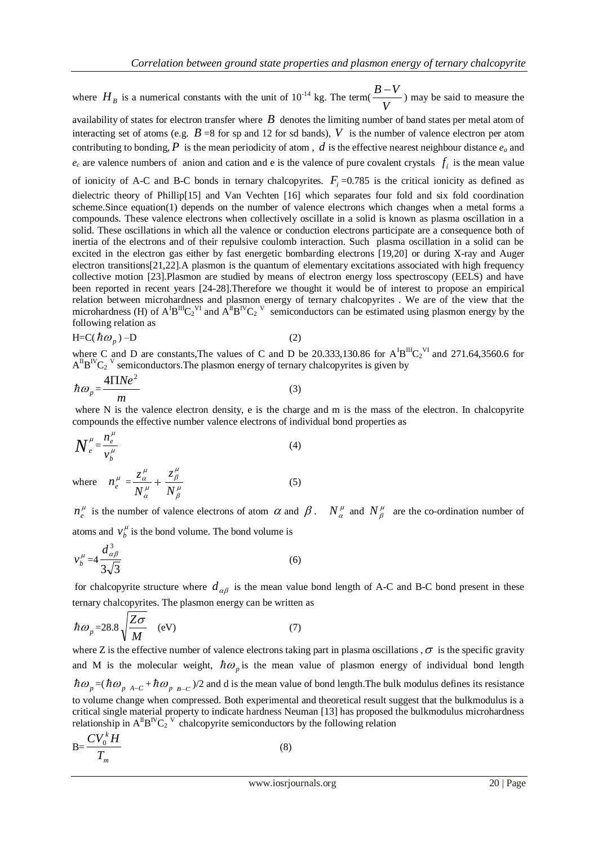where  $H_B$  is a numerical constants with the unit of  $10^{-14}$  kg. The term( *V*  $\frac{B-V}{\sqrt{B-V}}$ ) may be said to measure the

availability of states for electron transfer where  $B$  denotes the limiting number of band states per metal atom of interacting set of atoms (e.g.  $B = 8$  for sp and 12 for sd bands), V is the number of valence electron per atom contributing to bonding,  $P$  is the mean periodicity of atom,  $d$  is the effective nearest neighbour distance  $e_a$  and  $e_c$  are valence numbers of anion and cation and e is the valence of pure covalent crystals  $f_i$  is the mean value of ionicity of A-C and B-C bonds in ternary chalcopyrites.  $F_i = 0.785$  is the critical ionicity as defined as dielectric theory of Phillip[15] and Van Vechten [16] which separates four fold and six fold coordination scheme.Since equation(1) depends on the number of valence electrons which changes when a metal forms a compounds. These valence electrons when collectively oscillate in a solid is known as plasma oscillation in a solid. These oscillations in which all the valence or conduction electrons participate are a consequence both of inertia of the electrons and of their repulsive coulomb interaction. Such plasma oscillation in a solid can be excited in the electron gas either by fast energetic bombarding electrons [19,20] or during X-ray and Auger electron transitions[21,22].A plasmon is the quantum of elementary excitations associated with high frequency collective motion [23].Plasmon are studied by means of electron energy loss spectroscopy (EELS) and have been reported in recent years [24-28].Therefore we thought it would be of interest to propose an empirical relation between microhardness and plasmon energy of ternary chalcopyrites . We are of the view that the microhardness (H) of  $A^{I}B^{II}C_2^{\text{VI}}$  and  $A^{II}B^{IV}C_2^{\text{V}}$  semiconductors can be estimated using plasmon energy by the following relation as

$$
H=C(\hbar\omega_p)-D\tag{2}
$$

where C and D are constants, The values of C and D be 20.333,130.86 for  $A^{I}B^{III}C_2^{VI}$  and 271.64,3560.6 for  $A^{II}B^{IV}C_2$ <sup>V</sup> semiconductors. The plasmon energy of ternary chalcopyrites is given by

$$
\hbar \omega_p = \frac{4 \Pi N e^2}{m} \tag{3}
$$

where N is the valence electron density, e is the charge and m is the mass of the electron. In chalcopyrite compounds the effective number valence electrons of individual bond properties as

$$
N_e^{\mu} = \frac{n_e^{\mu}}{v_b^{\mu}}
$$
\n
$$
Z_a^{\mu} = \frac{Z_a^{\mu}}{v_b^{\mu}}
$$
\n
$$
(4)
$$

where  $n_e^{\mu} = \frac{c_{\alpha}}{N_a^{\mu}} +$ *N*  $_\beta ^\mu$ *N* (5)  $n_e^{\mu}$  is the number of valence electrons of atom  $\alpha$  and  $\beta$ .  $N_a^{\mu}$  and  $N_\beta^{\mu}$  are the co-ordination number of

atoms and  $v_b^{\mu}$  is the bond volume. The bond volume is

$$
v_b^{\mu} = 4 \frac{d_{\alpha\beta}^3}{3\sqrt{3}}
$$
 (6)

for chalcopyrite structure where  $d_{\alpha\beta}$  is the mean value bond length of A-C and B-C bond present in these ternary chalcopyrites. The plasmon energy can be written as

$$
\hbar \omega_p = 28.8 \sqrt{\frac{Z\sigma}{M}} \quad \text{(eV)} \tag{7}
$$

where Z is the effective number of valence electrons taking part in plasma oscillations,  $\sigma$  is the specific gravity and M is the molecular weight,  $\hbar \omega_p$  is the mean value of plasmon energy of individual bond length  $\hbar \omega_p = (\hbar \omega_p$ <sub>A-C</sub> +  $\hbar \omega_p$ <sub>B-C</sub>)/2 and d is the mean value of bond length. The bulk modulus defines its resistance to volume change when compressed. Both experimental and theoretical result suggest that the bulkmodulus is a critical single material property to indicate hardness Neuman [13] has proposed the bulkmodulus microhardness relationship in  $A^{I\!I}B^{IV}C_2^{V}$  chalcopyrite semiconductors by the following relation

$$
B=\frac{CV_0^k H}{T_m}
$$
 (8)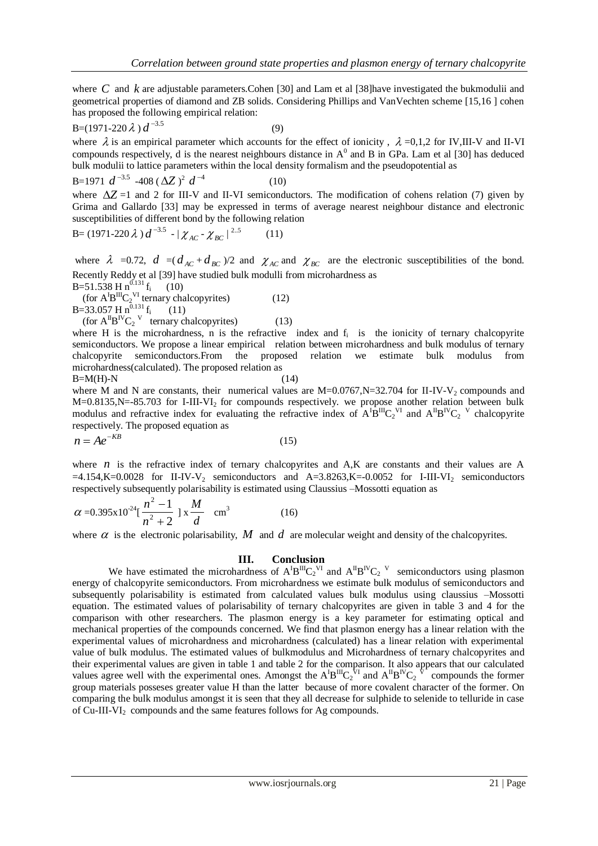where C and k are adjustable parameters.Cohen [30] and Lam et al [38]have investigated the bukmodulii and geometrical properties of diamond and ZB solids. Considering Phillips and VanVechten scheme [15,16 ] cohen has proposed the following empirical relation:

$$
B=(1971-220\,\lambda)\,d^{-3.5}\tag{9}
$$

where  $\lambda$  is an empirical parameter which accounts for the effect of ionicity,  $\lambda = 0.1,2$  for IV,III-V and II-VI compounds respectively, d is the nearest neighbours distance in  $A^0$  and B in GPa. Lam et al [30] has deduced bulk modulii to lattice parameters within the local density formalism and the pseudopotential as

B=1971 
$$
d^{-3.5}
$$
 -408 ( $\Delta Z$ )<sup>2</sup>  $d^{-4}$  (10)

where  $\Delta Z = 1$  and 2 for III-V and II-VI semiconductors. The modification of cohens relation (7) given by Grima and Gallardo [33] may be expressed in terms of average nearest neighbour distance and electronic susceptibilities of different bond by the following relation

$$
B = (1971 - 220 \lambda) d^{-3.5} - |\chi_{AC} - \chi_{BC}|^{2.5}
$$
 (11)

where  $\lambda = 0.72$ ,  $d = (d_{AC} + d_{BC})/2$  and  $\chi_{AC}$  and  $\chi_{BC}$  are the electronic susceptibilities of the bond. Recently Reddy et al [39] have studied bulk modulli from microhardness as B=51.538 H  $n^{0.131}$  f<sub>i</sub>

 (10) (for  $A^{I}B^{III}C_2^{VI}$  ternary chalcopyrites) (12) B=33.057 H  $n^{0.131}$  f<sub>i</sub> (11)

(for  $A^{II}B^{IV}C_2$ <sup>V</sup> ternary chalcopyrites) (13)

where H is the microhardness, n is the refractive index and  $f_i$  is the ionicity of ternary chalcopyrite semiconductors. We propose a linear empirical relation between microhardness and bulk modulus of ternary chalcopyrite semiconductors.From the proposed relation we estimate bulk modulus from microhardness(calculated). The proposed relation as  $B=M(H)-N$  (14)

where M and N are constants, their numerical values are  $M=0.0767$ ,  $N=32.704$  for II-IV-V<sub>2</sub> compounds and  $M=0.8135$ , N=-85.703 for I-III-VI<sub>2</sub> for compounds respectively. we propose another relation between bulk modulus and refractive index for evaluating the refractive index of  $A^{T}B^{T}C_{2}^{VI}$  and  $A^{T}B^{IV}C_{2}^{V}$  chalcopyrite respectively. The proposed equation as

$$
n = Ae^{-KB} \tag{15}
$$

where  $n$  is the refractive index of ternary chalcopyrites and  $A$ , K are constants and their values are  $A$  $=4.154$ ,K=0.0028 for II-IV-V<sub>2</sub> semiconductors and A=3.8263,K=-0.0052 for I-III-VI<sub>2</sub> semiconductors respectively subsequently polarisability is estimated using Claussius –Mossotti equation as

$$
\alpha = 0.395 \times 10^{-24} \left[ \frac{n^2 - 1}{n^2 + 2} \right] \times \frac{M}{d} \quad \text{cm}^3 \tag{16}
$$

where  $\alpha$  is the electronic polarisability, M and d are molecular weight and density of the chalcopyrites.

#### **III. Conclusion**

We have estimated the microhardness of  $A^{I}B^{II}C_2^{VI}$  and  $A^{II}B^{IV}C_2^{VI}$  semiconductors using plasmon energy of chalcopyrite semiconductors. From microhardness we estimate bulk modulus of semiconductors and subsequently polarisability is estimated from calculated values bulk modulus using claussius –Mossotti equation. The estimated values of polarisability of ternary chalcopyrites are given in table 3 and 4 for the comparison with other researchers. The plasmon energy is a key parameter for estimating optical and mechanical properties of the compounds concerned. We find that plasmon energy has a linear relation with the experimental values of microhardness and microhardness (calculated) has a linear relation with experimental value of bulk modulus. The estimated values of bulkmodulus and Microhardness of ternary chalcopyrites and their experimental values are given in table 1 and table 2 for the comparison. It also appears that our calculated values agree well with the experimental ones. Amongst the  $A^{T}B^{T}C_2^{\tau}$  and  $A^{T}B^{T}C_2^{\tau}$  compounds the former group materials posseses greater value H than the latter because of more covalent character of the former. On comparing the bulk modulus amongst it is seen that they all decrease for sulphide to selenide to telluride in case of  $Cu$ -III-VI<sub>2</sub> compounds and the same features follows for Ag compounds.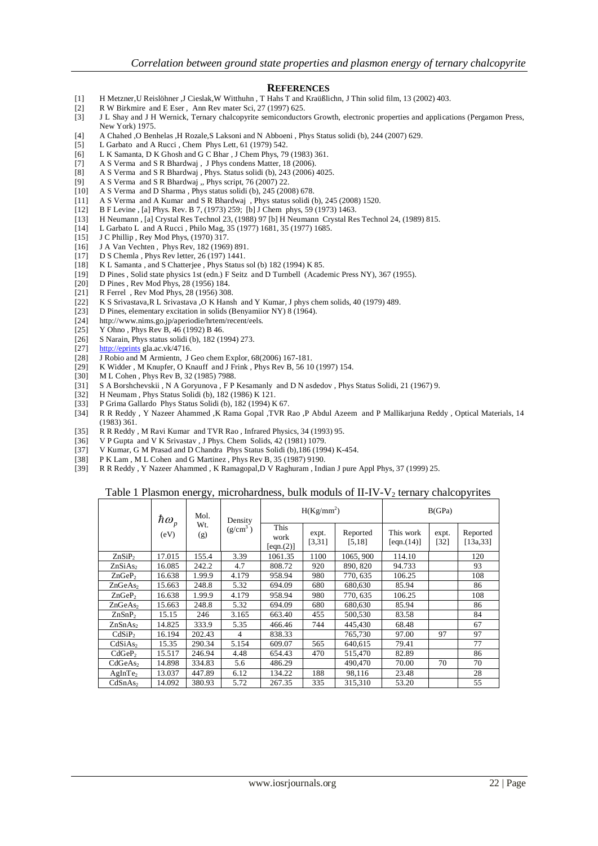#### **REFERENCES**

- [1] H Metzner,U Reislöhner ,J Cieslak,W Witthuhn , T Hahs T and Kraüßlichn, J Thin solid film, 13 (2002) 403.
- [2] R W Birkmire and E Eser , Ann Rev mater Sci, 27 (1997) 625.
- [3] J L Shay and J H Wernick, Ternary chalcopyrite semiconductors Growth, electronic properties and applications (Pergamon Press, New York) 1975.
- [4] A Chahed ,O Benhelas ,H Rozale,S Laksoni and N Abboeni , Phys Status solidi (b), 244 (2007) 629.
- [5] L Garbato and A Rucci , Chem Phys Lett, 61 (1979) 542.
- [6] L K Samanta, D K Ghosh and G C Bhar , J Chem Phys, 79 (1983) 361.
- [7] A S Verma and S R Bhardwaj , J Phys condens Matter, 18 (2006).
- [8] A S Verma and S R Bhardwaj , Phys. Status solidi (b), 243 (2006) 4025.
- [9] A S Verma and S R Bhardwaj ,, Phys script, 76 (2007) 22.<br>[10] A S Verma and D Sharma , Phys status solidi (b), 245 (20
- A S Verma and D Sharma , Phys status solidi (b), 245 (2008) 678.
- [11] A S Verma and A Kumar and S R Bhardwaj , Phys status solidi (b), 245 (2008) 1520.
- [12] B F Levine , [a] Phys. Rev. B 7, (1973) 259; [b] J Chem phys, 59 (1973) 1463.
- [13] H Neumann, [a] Crystal Res Technol 23, (1988) 97 [b] H Neumann Crystal Res Technol 24, (1989) 815.<br>[14] L Garbato L and A Rucci, Philo Mag. 35 (1977) 1681, 35 (1977) 1685.
- L Garbato L and A Rucci, Philo Mag, 35 (1977) 1681, 35 (1977) 1685.
- [15] J C Phillip , Rey Mod Phys, (1970) 317.
- [16] J A Van Vechten , Phys Rev, 182 (1969) 891.
- [17] D S Chemla , Phys Rev letter, 26 (197) 1441.
- 
- [18] K L Samanta , and S Chatterjee , Phys Status sol (b) 182 (1994) K 85. D Pines , Solid state physics 1st (edn.) F Seitz and D Turnbell (Academic Press NY), 367 (1955).
- [20] D Pines, Rev Mod Phys, 28 (1956) 184.<br>[21] R Ferrel . Rev Mod Phys. 28 (1956) 308
- R Ferrel , Rev Mod Phys, 28 (1956) 308.
- [22] K S Srivastava,R L Srivastava ,O K Hansh and Y Kumar, J phys chem solids, 40 (1979) 489.
- [23] D Pines, elementary excitation in solids (Benyamiior NY) 8 (1964).
- [24] http://www.nims.go.jp/aperiodie/hrtem/recent/eels.
- [25] Y Ohno, Phys Rev B, 46 (1992) B 46.<br>[26] S Narain, Phys status solidi (b), 182 (19)
- S Narain, Phys status solidi (b), 182 (1994) 273.
- 
- [27]  $\frac{http://eprints}{J}$  $\frac{http://eprints}{J}$  $\frac{http://eprints}{J}$  gla.ac.vk/4716.<br>[28]  $\frac{J}{}$  Robio and M Armientn, J [28] J Robio and M Armientn, J Geo chem Explor, 68(2006) 167-181.
- K Widder , M Knupfer, O Knauff and J Frink , Phys Rev B, 56 10 (1997) 154.
- [30] M L Cohen , Phys Rev B, 32 (1985) 7988.
- [31] S A Borshchevskii , N A Goryunova , F P Kesamanly and D N asdedov , Phys Status Solidi, 21 (1967) 9.
- [32] H Neumam , Phys Status Solidi (b), 182 (1986) K 121.
- P Grima Gallardo Phys Status Solidi (b), 182 (1994) K 67.
- [34] R R Reddy , Y Nazeer Ahammed ,K Rama Gopal ,TVR Rao ,P Abdul Azeem and P Mallikarjuna Reddy , Optical Materials, 14 (1983) 361.
- [35] R R Reddy , M Ravi Kumar and TVR Rao , Infrared Physics, 34 (1993) 95.
- [36] V P Gupta and V K Srivastav , J Phys. Chem Solids, 42 (1981) 1079.
- [37] V Kumar, G M Prasad and D Chandra Phys Status Solidi (b), 186 (1994) K-454.<br>[38] P K Lam, M L Cohen and G Martinez, Phys Rev B, 35 (1987) 9190.
- 
- [38] P K Lam, M L Cohen and G Martinez, Phys Rev B, 35 (1987) 9190.<br>[39] R R Reddy, Y Nazeer Ahammed, K Ramagopal, D V Raghuram, Ind [39] R R Reddy , Y Nazeer Ahammed , K Ramagopal,D V Raghuram , Indian J pure Appl Phys, 37 (1999) 25.

#### Table 1 Plasmon energy, microhardness, bulk moduls of  $II$ -IV-V<sub>2</sub> ternary chalcopyrites

|                     | $\hbar \omega_{_p}$ | Mol.<br>Density |                | $H(Kg/mm^2)$                                  |                     |                         | B(GPa)                      |                       |     |
|---------------------|---------------------|-----------------|----------------|-----------------------------------------------|---------------------|-------------------------|-----------------------------|-----------------------|-----|
|                     | (eV)                | Wt.<br>(g)      | $(g/cm^3)$     | This<br>expt.<br>work<br>[3,31]<br>[eqn. (2)] | Reported<br>[5, 18] | This work<br>[eqn.(14)] | expt.<br>$\lceil 32 \rceil$ | Reported<br>[13a, 33] |     |
| ZnSiP <sub>2</sub>  | 17.015              | 155.4           | 3.39           | 1061.35                                       | 1100                | 1065, 900               | 114.10                      |                       | 120 |
| ZnSiAs <sub>2</sub> | 16.085              | 242.2           | 4.7            | 808.72                                        | 920                 | 890, 820                | 94.733                      |                       | 93  |
| ZnGeP <sub>2</sub>  | 16.638              | 1.99.9          | 4.179          | 958.94                                        | 980                 | 770, 635                | 106.25                      |                       | 108 |
| ZnGeAs <sub>2</sub> | 15.663              | 248.8           | 5.32           | 694.09                                        | 680                 | 680,630                 | 85.94                       |                       | 86  |
| ZnGeP <sub>2</sub>  | 16.638              | 1.99.9          | 4.179          | 958.94                                        | 980                 | 770, 635                | 106.25                      |                       | 108 |
| ZnGeAs <sub>2</sub> | 15.663              | 248.8           | 5.32           | 694.09                                        | 680                 | 680,630                 | 85.94                       |                       | 86  |
| ZnSnP <sub>2</sub>  | 15.15               | 246             | 3.165          | 663.40                                        | 455                 | 500,530                 | 83.58                       |                       | 84  |
| ZnSnAs <sub>2</sub> | 14.825              | 333.9           | 5.35           | 466.46                                        | 744                 | 445.430                 | 68.48                       |                       | 67  |
| CdSiP <sub>2</sub>  | 16.194              | 202.43          | $\overline{4}$ | 838.33                                        |                     | 765,730                 | 97.00                       | 97                    | 97  |
| CdSiAs <sub>2</sub> | 15.35               | 290.34          | 5.154          | 609.07                                        | 565                 | 640.615                 | 79.41                       |                       | 77  |
| CdGeP <sub>2</sub>  | 15.517              | 246.94          | 4.48           | 654.43                                        | 470                 | 515,470                 | 82.89                       |                       | 86  |
| CdGeAs <sub>2</sub> | 14.898              | 334.83          | 5.6            | 486.29                                        |                     | 490,470                 | 70.00                       | 70                    | 70  |
| AgInTe <sub>2</sub> | 13.037              | 447.89          | 6.12           | 134.22                                        | 188                 | 98,116                  | 23.48                       |                       | 28  |
| CdSnAs <sub>2</sub> | 14.092              | 380.93          | 5.72           | 267.35                                        | 335                 | 315,310                 | 53.20                       |                       | 55  |